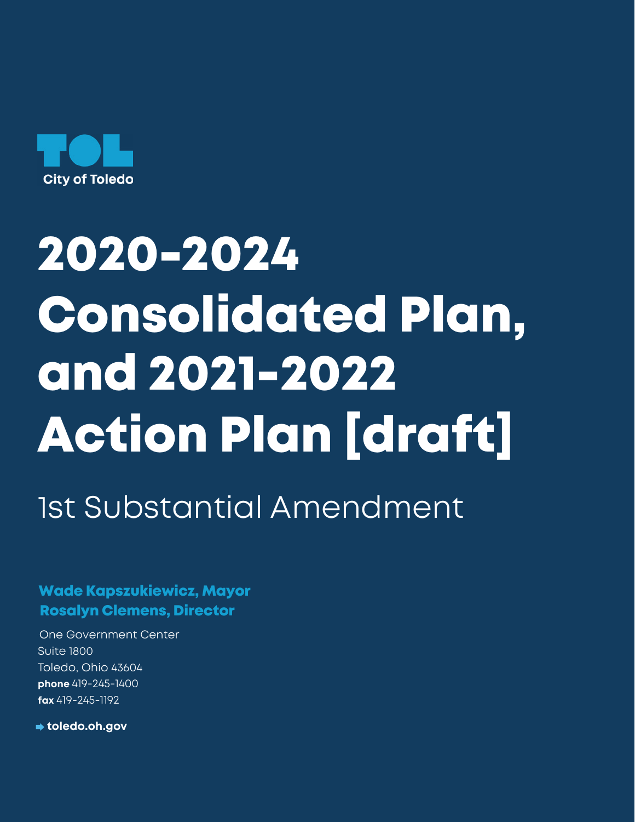

# 2020-2024 Consolidated Plan, and 2021-2022 Action Plan [draft]

1st Substantial Amendment

Wade Kapszukiewicz, Mayor Rosalyn Clemens, Director

One Government Center Suite 1800 Toledo, Ohio 43604 **phone** 419-245-1400 **fax** 419-245-1192

**toledo.oh.gov**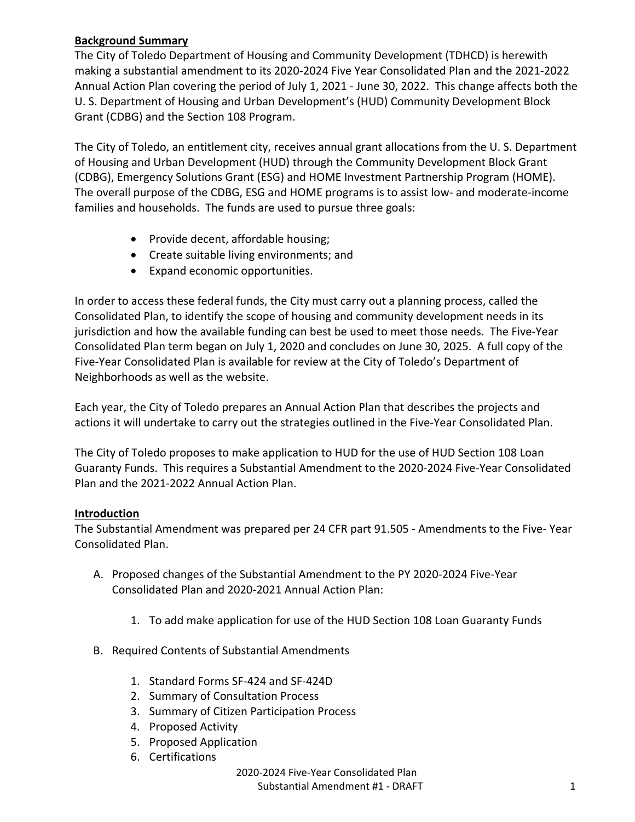# **Background Summary**

The City of Toledo Department of Housing and Community Development (TDHCD) is herewith making a substantial amendment to its 2020-2024 Five Year Consolidated Plan and the 2021-2022 Annual Action Plan covering the period of July 1, 2021 - June 30, 2022. This change affects both the U. S. Department of Housing and Urban Development's (HUD) Community Development Block Grant (CDBG) and the Section 108 Program.

The City of Toledo, an entitlement city, receives annual grant allocations from the U. S. Department of Housing and Urban Development (HUD) through the Community Development Block Grant (CDBG), Emergency Solutions Grant (ESG) and HOME Investment Partnership Program (HOME). The overall purpose of the CDBG, ESG and HOME programs is to assist low- and moderate-income families and households. The funds are used to pursue three goals:

- Provide decent, affordable housing;
- Create suitable living environments; and
- Expand economic opportunities.

In order to access these federal funds, the City must carry out a planning process, called the Consolidated Plan, to identify the scope of housing and community development needs in its jurisdiction and how the available funding can best be used to meet those needs. The Five-Year Consolidated Plan term began on July 1, 2020 and concludes on June 30, 2025. A full copy of the Five-Year Consolidated Plan is available for review at the City of Toledo's Department of Neighborhoods as well as the website.

Each year, the City of Toledo prepares an Annual Action Plan that describes the projects and actions it will undertake to carry out the strategies outlined in the Five-Year Consolidated Plan.

The City of Toledo proposes to make application to HUD for the use of HUD Section 108 Loan Guaranty Funds. This requires a Substantial Amendment to the 2020-2024 Five-Year Consolidated Plan and the 2021-2022 Annual Action Plan.

# **Introduction**

The Substantial Amendment was prepared per 24 CFR part 91.505 - Amendments to the Five- Year Consolidated Plan.

- A. Proposed changes of the Substantial Amendment to the PY 2020-2024 Five-Year Consolidated Plan and 2020-2021 Annual Action Plan:
	- 1. To add make application for use of the HUD Section 108 Loan Guaranty Funds
- B. Required Contents of Substantial Amendments
	- 1. Standard Forms SF-424 and SF-424D
	- 2. Summary of Consultation Process
	- 3. Summary of Citizen Participation Process
	- 4. Proposed Activity
	- 5. Proposed Application
	- 6. Certifications

2020-2024 Five-Year Consolidated Plan Substantial Amendment #1 - DRAFT 1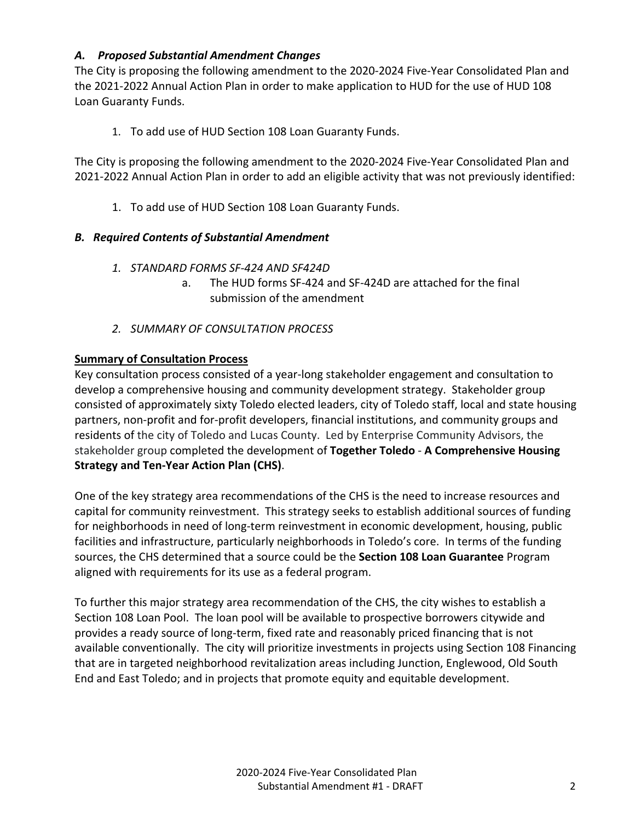# *A. Proposed Substantial Amendment Changes*

The City is proposing the following amendment to the 2020-2024 Five-Year Consolidated Plan and the 2021-2022 Annual Action Plan in order to make application to HUD for the use of HUD 108 Loan Guaranty Funds.

1. To add use of HUD Section 108 Loan Guaranty Funds.

The City is proposing the following amendment to the 2020-2024 Five-Year Consolidated Plan and 2021-2022 Annual Action Plan in order to add an eligible activity that was not previously identified:

1. To add use of HUD Section 108 Loan Guaranty Funds.

# *B. Required Contents of Substantial Amendment*

- *1. STANDARD FORMS SF-424 AND SF424D*
	- a. The HUD forms SF-424 and SF-424D are attached for the final submission of the amendment
- *2. SUMMARY OF CONSULTATION PROCESS*

# **Summary of Consultation Process**

Key consultation process consisted of a year-long stakeholder engagement and consultation to develop a comprehensive housing and community development strategy. Stakeholder group consisted of approximately sixty Toledo elected leaders, city of Toledo staff, local and state housing partners, non-profit and for-profit developers, financial institutions, and community groups and residents of the city of Toledo and Lucas County. Led by Enterprise Community Advisors, the stakeholder group completed the development of **Together Toledo** - **A Comprehensive Housing Strategy and Ten-Year Action Plan (CHS)**.

One of the key strategy area recommendations of the CHS is the need to increase resources and capital for community reinvestment. This strategy seeks to establish additional sources of funding for neighborhoods in need of long-term reinvestment in economic development, housing, public facilities and infrastructure, particularly neighborhoods in Toledo's core. In terms of the funding sources, the CHS determined that a source could be the **Section 108 Loan Guarantee** Program aligned with requirements for its use as a federal program.

To further this major strategy area recommendation of the CHS, the city wishes to establish a Section 108 Loan Pool. The loan pool will be available to prospective borrowers citywide and provides a ready source of long-term, fixed rate and reasonably priced financing that is not available conventionally. The city will prioritize investments in projects using Section 108 Financing that are in targeted neighborhood revitalization areas including Junction, Englewood, Old South End and East Toledo; and in projects that promote equity and equitable development.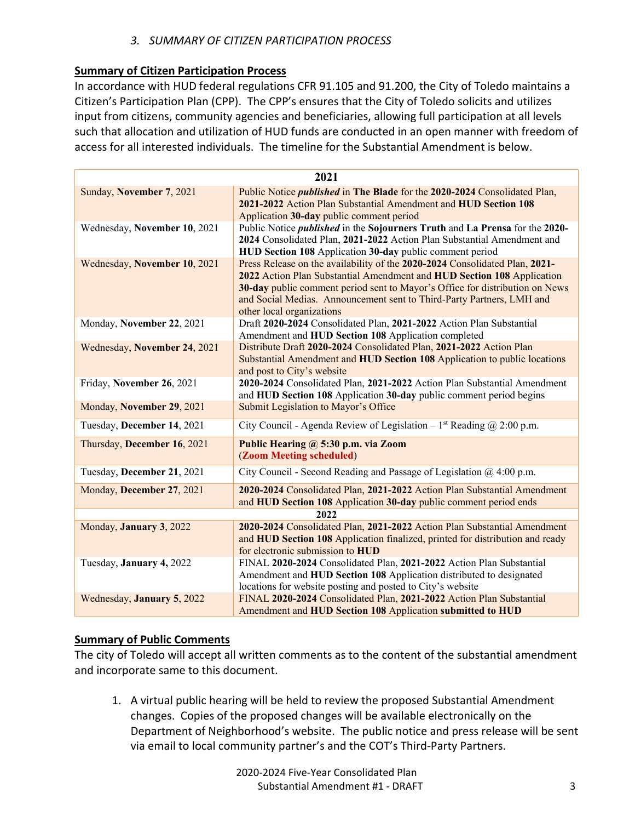# *3. SUMMARY OF CITIZEN PARTICIPATION PROCESS*

# **Summary of Citizen Participation Process**

In accordance with HUD federal regulations CFR 91.105 and 91.200, the City of Toledo maintains a Citizen's Participation Plan (CPP). The CPP's ensures that the City of Toledo solicits and utilizes input from citizens, community agencies and beneficiaries, allowing full participation at all levels such that allocation and utilization of HUD funds are conducted in an open manner with freedom of access for all interested individuals. The timeline for the Substantial Amendment is below.

| 2021                         |                                                                                                                                                                                                                                                                                                                                             |  |  |  |
|------------------------------|---------------------------------------------------------------------------------------------------------------------------------------------------------------------------------------------------------------------------------------------------------------------------------------------------------------------------------------------|--|--|--|
| Sunday, November 7, 2021     | Public Notice <i>published</i> in The Blade for the 2020-2024 Consolidated Plan,<br>2021-2022 Action Plan Substantial Amendment and HUD Section 108<br>Application 30-day public comment period                                                                                                                                             |  |  |  |
| Wednesday, November 10, 2021 | Public Notice <i>published</i> in the Sojourners Truth and La Prensa for the 2020-<br>2024 Consolidated Plan, 2021-2022 Action Plan Substantial Amendment and<br>HUD Section 108 Application 30-day public comment period                                                                                                                   |  |  |  |
| Wednesday, November 10, 2021 | Press Release on the availability of the 2020-2024 Consolidated Plan, 2021-<br>2022 Action Plan Substantial Amendment and HUD Section 108 Application<br>30-day public comment period sent to Mayor's Office for distribution on News<br>and Social Medias. Announcement sent to Third-Party Partners, LMH and<br>other local organizations |  |  |  |
| Monday, November 22, 2021    | Draft 2020-2024 Consolidated Plan, 2021-2022 Action Plan Substantial<br>Amendment and HUD Section 108 Application completed                                                                                                                                                                                                                 |  |  |  |
| Wednesday, November 24, 2021 | Distribute Draft 2020-2024 Consolidated Plan, 2021-2022 Action Plan<br>Substantial Amendment and HUD Section 108 Application to public locations<br>and post to City's website                                                                                                                                                              |  |  |  |
| Friday, November 26, 2021    | 2020-2024 Consolidated Plan, 2021-2022 Action Plan Substantial Amendment<br>and HUD Section 108 Application 30-day public comment period begins                                                                                                                                                                                             |  |  |  |
| Monday, November 29, 2021    | Submit Legislation to Mayor's Office                                                                                                                                                                                                                                                                                                        |  |  |  |
| Tuesday, December 14, 2021   | City Council - Agenda Review of Legislation - $1st$ Reading @ 2:00 p.m.                                                                                                                                                                                                                                                                     |  |  |  |
| Thursday, December 16, 2021  | Public Hearing @ 5:30 p.m. via Zoom<br>(Zoom Meeting scheduled)                                                                                                                                                                                                                                                                             |  |  |  |
| Tuesday, December 21, 2021   | City Council - Second Reading and Passage of Legislation @ 4:00 p.m.                                                                                                                                                                                                                                                                        |  |  |  |
| Monday, December 27, 2021    | 2020-2024 Consolidated Plan, 2021-2022 Action Plan Substantial Amendment<br>and HUD Section 108 Application 30-day public comment period ends                                                                                                                                                                                               |  |  |  |
| 2022                         |                                                                                                                                                                                                                                                                                                                                             |  |  |  |
| Monday, January 3, 2022      | 2020-2024 Consolidated Plan, 2021-2022 Action Plan Substantial Amendment<br>and HUD Section 108 Application finalized, printed for distribution and ready<br>for electronic submission to HUD                                                                                                                                               |  |  |  |
| Tuesday, January 4, 2022     | FINAL 2020-2024 Consolidated Plan, 2021-2022 Action Plan Substantial<br>Amendment and HUD Section 108 Application distributed to designated<br>locations for website posting and posted to City's website                                                                                                                                   |  |  |  |
| Wednesday, January 5, 2022   | FINAL 2020-2024 Consolidated Plan, 2021-2022 Action Plan Substantial<br>Amendment and HUD Section 108 Application submitted to HUD                                                                                                                                                                                                          |  |  |  |

# **Summary of Public Comments**

The city of Toledo will accept all written comments as to the content of the substantial amendment and incorporate same to this document.

1. A virtual public hearing will be held to review the proposed Substantial Amendment changes. Copies of the proposed changes will be available electronically on the Department of Neighborhood's website. The public notice and press release will be sent via email to local community partner's and the COT's Third-Party Partners.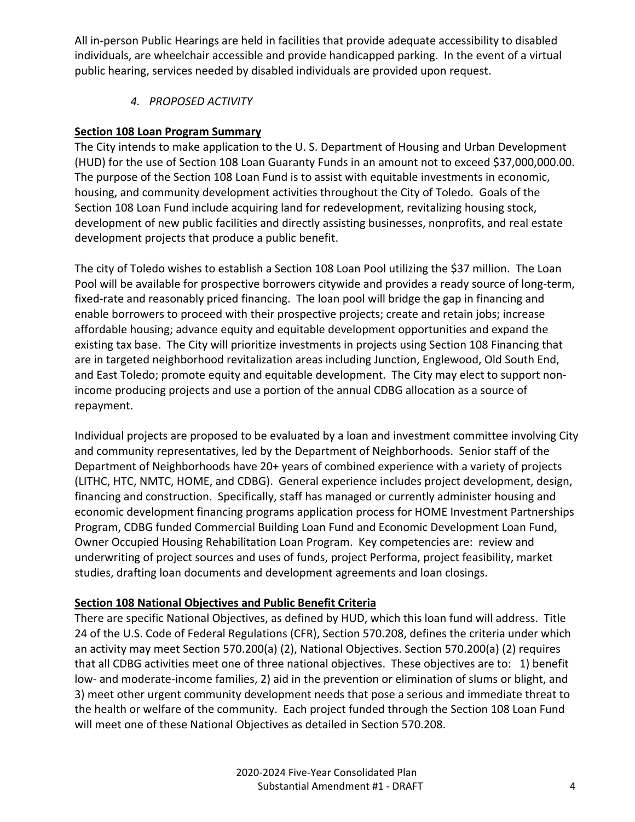All in-person Public Hearings are held in facilities that provide adequate accessibility to disabled individuals, are wheelchair accessible and provide handicapped parking. In the event of a virtual public hearing, services needed by disabled individuals are provided upon request.

*4. PROPOSED ACTIVITY* 

# **Section 108 Loan Program Summary**

The City intends to make application to the U. S. Department of Housing and Urban Development (HUD) for the use of Section 108 Loan Guaranty Funds in an amount not to exceed \$37,000,000.00. The purpose of the Section 108 Loan Fund is to assist with equitable investments in economic, housing, and community development activities throughout the City of Toledo. Goals of the Section 108 Loan Fund include acquiring land for redevelopment, revitalizing housing stock, development of new public facilities and directly assisting businesses, nonprofits, and real estate development projects that produce a public benefit.

The city of Toledo wishes to establish a Section 108 Loan Pool utilizing the \$37 million. The Loan Pool will be available for prospective borrowers citywide and provides a ready source of long-term, fixed-rate and reasonably priced financing. The loan pool will bridge the gap in financing and enable borrowers to proceed with their prospective projects; create and retain jobs; increase affordable housing; advance equity and equitable development opportunities and expand the existing tax base. The City will prioritize investments in projects using Section 108 Financing that are in targeted neighborhood revitalization areas including Junction, Englewood, Old South End, and East Toledo; promote equity and equitable development. The City may elect to support nonincome producing projects and use a portion of the annual CDBG allocation as a source of repayment.

Individual projects are proposed to be evaluated by a loan and investment committee involving City and community representatives, led by the Department of Neighborhoods. Senior staff of the Department of Neighborhoods have 20+ years of combined experience with a variety of projects (LITHC, HTC, NMTC, HOME, and CDBG). General experience includes project development, design, financing and construction. Specifically, staff has managed or currently administer housing and economic development financing programs application process for HOME Investment Partnerships Program, CDBG funded Commercial Building Loan Fund and Economic Development Loan Fund, Owner Occupied Housing Rehabilitation Loan Program. Key competencies are: review and underwriting of project sources and uses of funds, project Performa, project feasibility, market studies, drafting loan documents and development agreements and loan closings.

# **Section 108 National Objectives and Public Benefit Criteria**

There are specific National Objectives, as defined by HUD, which this loan fund will address. Title 24 of the U.S. Code of Federal Regulations (CFR), Section 570.208, defines the criteria under which an activity may meet Section 570.200(a) (2), National Objectives. Section 570.200(a) (2) requires that all CDBG activities meet one of three national objectives. These objectives are to: 1) benefit low- and moderate-income families, 2) aid in the prevention or elimination of slums or blight, and 3) meet other urgent community development needs that pose a serious and immediate threat to the health or welfare of the community. Each project funded through the Section 108 Loan Fund will meet one of these National Objectives as detailed in Section 570.208.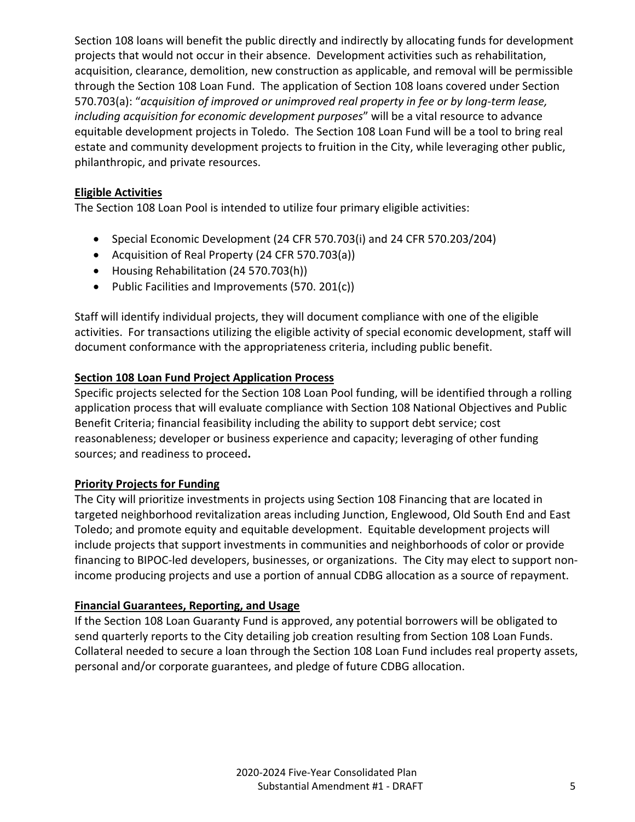Section 108 loans will benefit the public directly and indirectly by allocating funds for development projects that would not occur in their absence. Development activities such as rehabilitation, acquisition, clearance, demolition, new construction as applicable, and removal will be permissible through the Section 108 Loan Fund. The application of Section 108 loans covered under Section 570.703(a): "*acquisition of improved or unimproved real property in fee or by long-term lease, including acquisition for economic development purposes*" will be a vital resource to advance equitable development projects in Toledo. The Section 108 Loan Fund will be a tool to bring real estate and community development projects to fruition in the City, while leveraging other public, philanthropic, and private resources.

# **Eligible Activities**

The Section 108 Loan Pool is intended to utilize four primary eligible activities:

- Special Economic Development (24 CFR 570.703(i) and 24 CFR 570.203/204)
- Acquisition of Real Property (24 CFR 570.703(a))
- Housing Rehabilitation (24 570.703(h))
- Public Facilities and Improvements (570. 201(c))

Staff will identify individual projects, they will document compliance with one of the eligible activities. For transactions utilizing the eligible activity of special economic development, staff will document conformance with the appropriateness criteria, including public benefit.

# **Section 108 Loan Fund Project Application Process**

Specific projects selected for the Section 108 Loan Pool funding, will be identified through a rolling application process that will evaluate compliance with Section 108 National Objectives and Public Benefit Criteria; financial feasibility including the ability to support debt service; cost reasonableness; developer or business experience and capacity; leveraging of other funding sources; and readiness to proceed**.** 

# **Priority Projects for Funding**

The City will prioritize investments in projects using Section 108 Financing that are located in targeted neighborhood revitalization areas including Junction, Englewood, Old South End and East Toledo; and promote equity and equitable development. Equitable development projects will include projects that support investments in communities and neighborhoods of color or provide financing to BIPOC-led developers, businesses, or organizations. The City may elect to support nonincome producing projects and use a portion of annual CDBG allocation as a source of repayment.

# **Financial Guarantees, Reporting, and Usage**

If the Section 108 Loan Guaranty Fund is approved, any potential borrowers will be obligated to send quarterly reports to the City detailing job creation resulting from Section 108 Loan Funds. Collateral needed to secure a loan through the Section 108 Loan Fund includes real property assets, personal and/or corporate guarantees, and pledge of future CDBG allocation.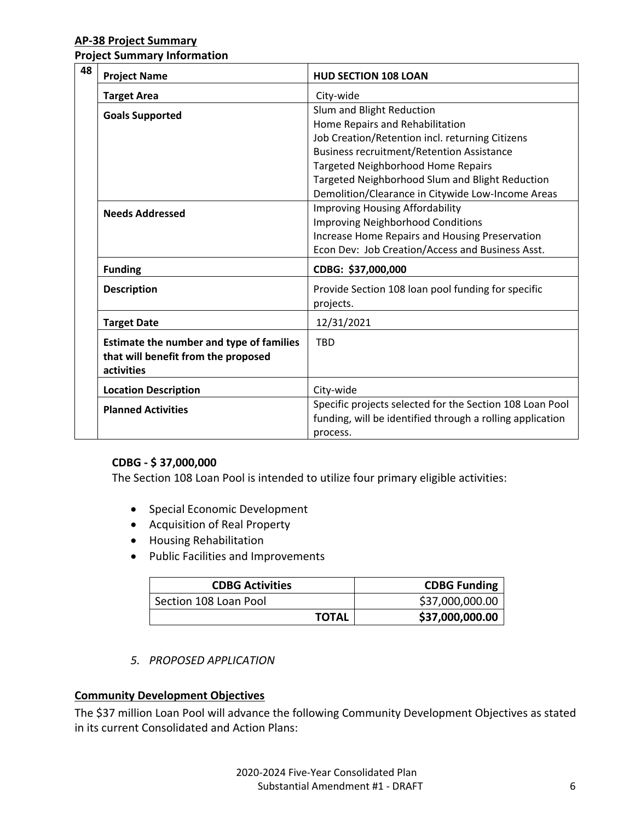#### **AP-38 Project Summary**

**Project Summary Information**

| 48 | <b>Project Name</b>                                                                           | <b>HUD SECTION 108 LOAN</b>                                                                                                       |
|----|-----------------------------------------------------------------------------------------------|-----------------------------------------------------------------------------------------------------------------------------------|
|    | <b>Target Area</b>                                                                            | City-wide                                                                                                                         |
|    | <b>Goals Supported</b>                                                                        | Slum and Blight Reduction<br>Home Repairs and Rehabilitation                                                                      |
|    |                                                                                               | Job Creation/Retention incl. returning Citizens                                                                                   |
|    |                                                                                               | <b>Business recruitment/Retention Assistance</b>                                                                                  |
|    |                                                                                               | <b>Targeted Neighborhood Home Repairs</b>                                                                                         |
|    |                                                                                               | Targeted Neighborhood Slum and Blight Reduction                                                                                   |
|    |                                                                                               | Demolition/Clearance in Citywide Low-Income Areas                                                                                 |
|    | <b>Needs Addressed</b>                                                                        | <b>Improving Housing Affordability</b>                                                                                            |
|    |                                                                                               | <b>Improving Neighborhood Conditions</b>                                                                                          |
|    |                                                                                               | Increase Home Repairs and Housing Preservation                                                                                    |
|    |                                                                                               | Econ Dev: Job Creation/Access and Business Asst.                                                                                  |
|    | <b>Funding</b>                                                                                | CDBG: \$37,000,000                                                                                                                |
|    | <b>Description</b>                                                                            | Provide Section 108 loan pool funding for specific<br>projects.                                                                   |
|    | <b>Target Date</b>                                                                            | 12/31/2021                                                                                                                        |
|    | Estimate the number and type of families<br>that will benefit from the proposed<br>activities | <b>TRD</b>                                                                                                                        |
|    | <b>Location Description</b>                                                                   | City-wide                                                                                                                         |
|    | <b>Planned Activities</b>                                                                     | Specific projects selected for the Section 108 Loan Pool<br>funding, will be identified through a rolling application<br>process. |

#### **CDBG - \$ 37,000,000**

The Section 108 Loan Pool is intended to utilize four primary eligible activities:

- Special Economic Development
- Acquisition of Real Property
- Housing Rehabilitation
- Public Facilities and Improvements

| <b>CDBG Activities</b> | <b>CDBG Funding</b> |
|------------------------|---------------------|
| Section 108 Loan Pool  | \$37,000,000.00     |
| <b>TOTAL</b>           | \$37,000,000.00     |

*5. PROPOSED APPLICATION*

#### **Community Development Objectives**

The \$37 million Loan Pool will advance the following Community Development Objectives as stated in its current Consolidated and Action Plans: